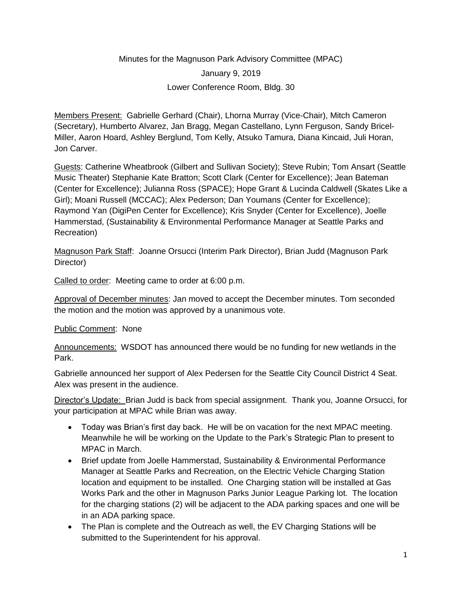## Minutes for the Magnuson Park Advisory Committee (MPAC) January 9, 2019 Lower Conference Room, Bldg. 30

Members Present: Gabrielle Gerhard (Chair), Lhorna Murray (Vice-Chair), Mitch Cameron (Secretary), Humberto Alvarez, Jan Bragg, Megan Castellano, Lynn Ferguson, Sandy Bricel-Miller, Aaron Hoard, Ashley Berglund, Tom Kelly, Atsuko Tamura, Diana Kincaid, Juli Horan, Jon Carver.

Guests: Catherine Wheatbrook (Gilbert and Sullivan Society); Steve Rubin; Tom Ansart (Seattle Music Theater) Stephanie Kate Bratton; Scott Clark (Center for Excellence); Jean Bateman (Center for Excellence); Julianna Ross (SPACE); Hope Grant & Lucinda Caldwell (Skates Like a Girl); Moani Russell (MCCAC); Alex Pederson; Dan Youmans (Center for Excellence); Raymond Yan (DigiPen Center for Excellence); Kris Snyder (Center for Excellence), Joelle Hammerstad, (Sustainability & Environmental Performance Manager at Seattle Parks and Recreation)

Magnuson Park Staff: Joanne Orsucci (Interim Park Director), Brian Judd (Magnuson Park Director)

Called to order: Meeting came to order at 6:00 p.m.

Approval of December minutes: Jan moved to accept the December minutes. Tom seconded the motion and the motion was approved by a unanimous vote.

## Public Comment: None

Announcements: WSDOT has announced there would be no funding for new wetlands in the Park.

Gabrielle announced her support of Alex Pedersen for the Seattle City Council District 4 Seat. Alex was present in the audience.

Director's Update: Brian Judd is back from special assignment. Thank you, Joanne Orsucci, for your participation at MPAC while Brian was away.

- Today was Brian's first day back. He will be on vacation for the next MPAC meeting. Meanwhile he will be working on the Update to the Park's Strategic Plan to present to MPAC in March.
- Brief update from Joelle Hammerstad, Sustainability & Environmental Performance Manager at Seattle Parks and Recreation, on the Electric Vehicle Charging Station location and equipment to be installed. One Charging station will be installed at Gas Works Park and the other in Magnuson Parks Junior League Parking lot. The location for the charging stations (2) will be adjacent to the ADA parking spaces and one will be in an ADA parking space.
- The Plan is complete and the Outreach as well, the EV Charging Stations will be submitted to the Superintendent for his approval.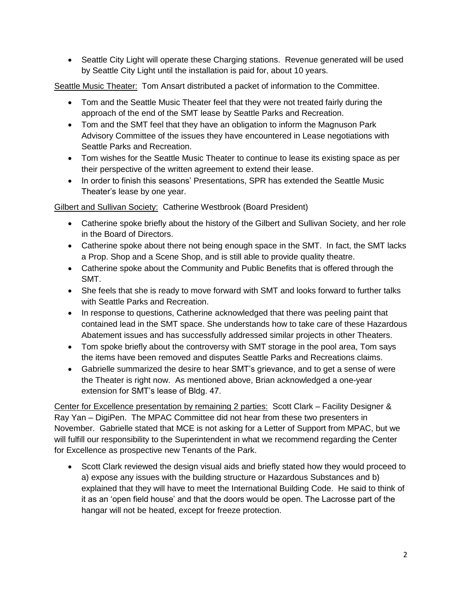• Seattle City Light will operate these Charging stations. Revenue generated will be used by Seattle City Light until the installation is paid for, about 10 years.

Seattle Music Theater: Tom Ansart distributed a packet of information to the Committee.

- Tom and the Seattle Music Theater feel that they were not treated fairly during the approach of the end of the SMT lease by Seattle Parks and Recreation.
- Tom and the SMT feel that they have an obligation to inform the Magnuson Park Advisory Committee of the issues they have encountered in Lease negotiations with Seattle Parks and Recreation.
- Tom wishes for the Seattle Music Theater to continue to lease its existing space as per their perspective of the written agreement to extend their lease.
- In order to finish this seasons' Presentations, SPR has extended the Seattle Music Theater's lease by one year.

## Gilbert and Sullivan Society: Catherine Westbrook (Board President)

- Catherine spoke briefly about the history of the Gilbert and Sullivan Society, and her role in the Board of Directors.
- Catherine spoke about there not being enough space in the SMT. In fact, the SMT lacks a Prop. Shop and a Scene Shop, and is still able to provide quality theatre.
- Catherine spoke about the Community and Public Benefits that is offered through the SMT.
- She feels that she is ready to move forward with SMT and looks forward to further talks with Seattle Parks and Recreation.
- In response to questions, Catherine acknowledged that there was peeling paint that contained lead in the SMT space. She understands how to take care of these Hazardous Abatement issues and has successfully addressed similar projects in other Theaters.
- Tom spoke briefly about the controversy with SMT storage in the pool area, Tom says the items have been removed and disputes Seattle Parks and Recreations claims.
- Gabrielle summarized the desire to hear SMT's grievance, and to get a sense of were the Theater is right now. As mentioned above, Brian acknowledged a one-year extension for SMT's lease of Bldg. 47.

Center for Excellence presentation by remaining 2 parties: Scott Clark – Facility Designer & Ray Yan – DigiPen. The MPAC Committee did not hear from these two presenters in November. Gabrielle stated that MCE is not asking for a Letter of Support from MPAC, but we will fulfill our responsibility to the Superintendent in what we recommend regarding the Center for Excellence as prospective new Tenants of the Park.

• Scott Clark reviewed the design visual aids and briefly stated how they would proceed to a) expose any issues with the building structure or Hazardous Substances and b) explained that they will have to meet the International Building Code. He said to think of it as an 'open field house' and that the doors would be open. The Lacrosse part of the hangar will not be heated, except for freeze protection.